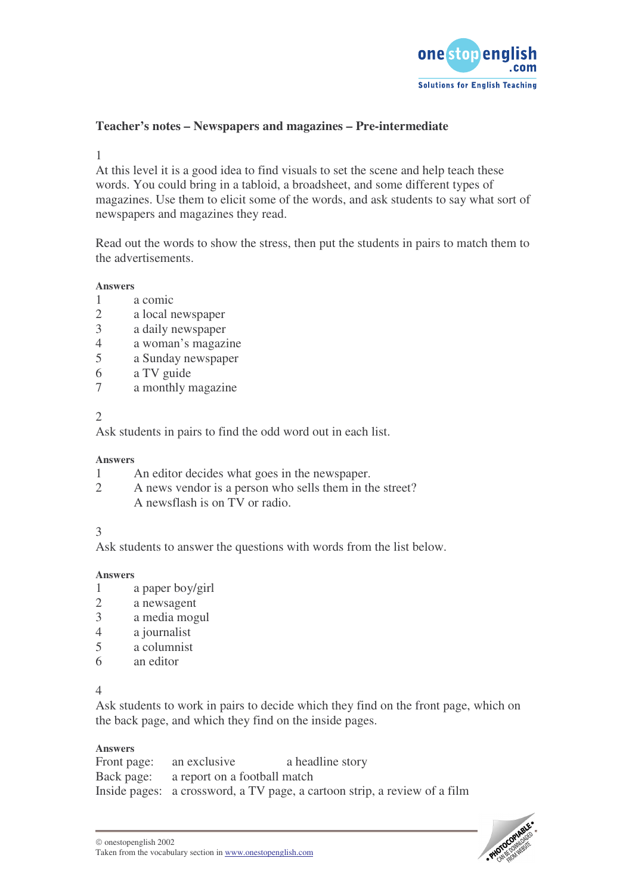

# **Teacher's notes – Newspapers and magazines – Pre-intermediate**

1

At this level it is a good idea to find visuals to set the scene and help teach these words. You could bring in a tabloid, a broadsheet, and some different types of magazines. Use them to elicit some of the words, and ask students to say what sort of newspapers and magazines they read.

Read out the words to show the stress, then put the students in pairs to match them to the advertisements.

#### **Answers**

- 1 a comic
- 2 a local newspaper
- 3 a daily newspaper
- 4 a woman's magazine
- a Sunday newspaper
- 6 a TV guide
- 7 a monthly magazine

 $\mathcal{L}$ 

Ask students in pairs to find the odd word out in each list.

#### **Answers**

- 1 An editor decides what goes in the newspaper.
- 2 A news vendor is a person who sells them in the street? A newsflash is on TV or radio.

### 3

Ask students to answer the questions with words from the list below.

#### **Answers**

- 1 a paper boy/girl
- 2 a newsagent
- 3 a media mogul
- 4 a journalist<br>5 a columnist
- 5 a columnist
- 6 an editor

4

Ask students to work in pairs to decide which they find on the front page, which on the back page, and which they find on the inside pages.

#### **Answers**

| Front page: an exclusive                | a headline story                                                          |
|-----------------------------------------|---------------------------------------------------------------------------|
| Back page: a report on a football match |                                                                           |
|                                         | Inside pages: a crossword, a TV page, a cartoon strip, a review of a film |